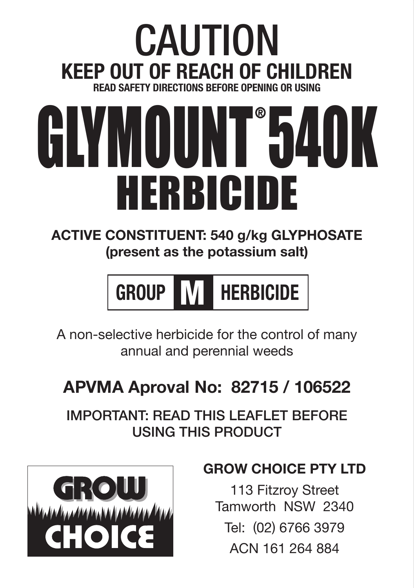### CAUTION **Keep out of reach of children READ SAFETY DIRECTIONS BEFORE OPENING OR HOURS**

### HERBICIDE GLYMOUNT 540K

#### **ACTIVE CONSTITUENT: 540 g/kg GLYPHOSATE (present as the potassium salt)**



A non-selective herbicide for the control of many annual and perennial weeds

#### **APVMA Aproval No: 82715 / 106522**

IMPORTANT: READ THIS LEAFLET BEFORE USING THIS PRODUCT



#### **GROW CHOICE PTY LTD**

113 Fitzroy Street Tamworth NSW 2340 Tel: (02) 6766 3979 ACN 161 264 884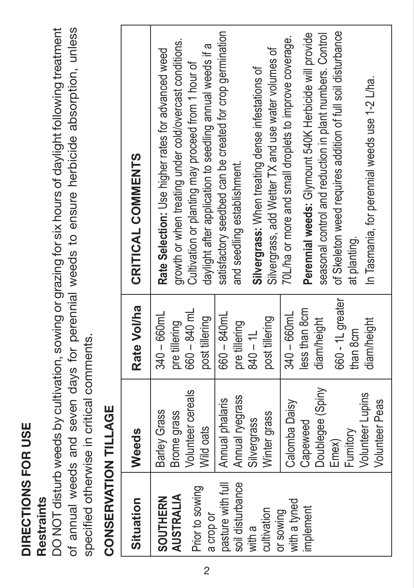## DIRECTIONS FOR USE **DIRECTIONS FOR USE**

### Restraints **Restraints**

DO NOT disturb weeds by cultivation, sowing or grazing for six hours of daylight following treatment DO NOT disturb weeds by cultivation, sowing or grazing for six hours of daylight following treatment of annual weeds and seven days for perennial weeds to ensure herbicide absorption, unless of annual weeds and seven days for perennial weeds to ensure herbicide absorption, unless specified otherwise in critical comments. specified otherwise in critical comments.

## CONSERVATION TILLAGE **CONSERVATION TILLAGE**

| <b>DESCRIPTION AND LESS PROPERTY OF A SECOND PROPERTY OF A SECOND PROPERTY OF A SECOND PROPERTY OF A SECOND PROPE</b>                                             |                                                                                                                                                                                                                                                                     |                                                                                                                                                                                                                                         |                                                                                                                                                                                                                                                                                                                                                                                                                                                                                                                                                                                                                                                                                                                                                       |
|-------------------------------------------------------------------------------------------------------------------------------------------------------------------|---------------------------------------------------------------------------------------------------------------------------------------------------------------------------------------------------------------------------------------------------------------------|-----------------------------------------------------------------------------------------------------------------------------------------------------------------------------------------------------------------------------------------|-------------------------------------------------------------------------------------------------------------------------------------------------------------------------------------------------------------------------------------------------------------------------------------------------------------------------------------------------------------------------------------------------------------------------------------------------------------------------------------------------------------------------------------------------------------------------------------------------------------------------------------------------------------------------------------------------------------------------------------------------------|
| Situation                                                                                                                                                         | Weeds                                                                                                                                                                                                                                                               | Rate Vol/ha                                                                                                                                                                                                                             | CRITICAL COMMENTS                                                                                                                                                                                                                                                                                                                                                                                                                                                                                                                                                                                                                                                                                                                                     |
| pasture with full<br>soil disturbance<br>Prior to sowing<br>AUSTRALIA<br>SOUTHERN<br>with a tyned<br>implement<br>cultivation<br>or sowing<br>a crop or<br>with a | Doublegee (Spiny<br>Volunteer cereals<br><b>Volunteer Lupins</b><br>Annual ryegrass<br>Annual phalaris<br><b>Volunteer Peas</b><br><b>Calomba Daisy</b><br>Barley Grass<br>Brome grass<br>Winter grass<br>Silvergrass<br>Capeweed<br>Wild oats<br>Funitory<br>Emex) | 660 - 1L greater<br>less than 8cm<br>$660 - 840$ mL<br>$340 - 660$ mL<br>$660 - 840$ mL<br>$340 - 660$ mL<br>post tillering<br>post tillering<br>diam/height<br>diam/height<br>pre tillering<br>pre tillering<br>than 8cm<br>$840 - 11$ | satisfactory seedbed can be created for crop germination<br>of Skeleton weed requires addition of full soil disturbance<br>Perennial weeds: Glymount 540K Herbicide will provide<br>seasonal control and reduction in plant numbers. Control<br>70L/ha or more and small droplets to improve coverage.<br>growth or when treating under cold/overcast conditions.<br>daylight after application to seedling annual weeds if a<br>Silvergrass, add Wetter TX and use water volumes of<br>Rate Selection: Use higher rates for advanced weed<br>Cultivation or planting may proceed from 1 hour of<br>Silvergrass: When treating dense infestations of<br>In Tasmania, for perennial weeds use 1-2 L/ha.<br>and seedling establishment.<br>at planting. |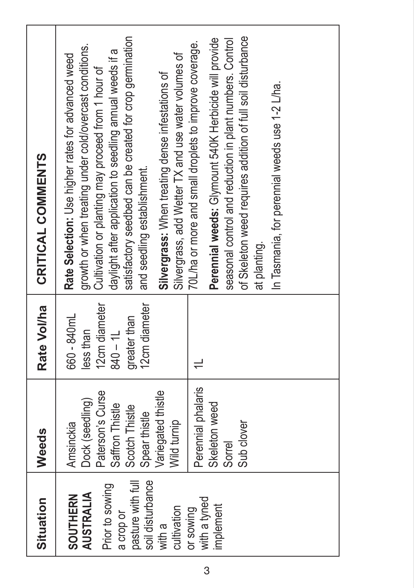| Situation                                                                                                                                                                       | Weeds                                                                                                                                                                                                      | Rate Vol/ha                                                                              | CRITICAL COMMENTS                                                                                                                                                                                                                                                                                                                                                                                                                                                                                                                                                                                                                                                                                                                                     |
|---------------------------------------------------------------------------------------------------------------------------------------------------------------------------------|------------------------------------------------------------------------------------------------------------------------------------------------------------------------------------------------------------|------------------------------------------------------------------------------------------|-------------------------------------------------------------------------------------------------------------------------------------------------------------------------------------------------------------------------------------------------------------------------------------------------------------------------------------------------------------------------------------------------------------------------------------------------------------------------------------------------------------------------------------------------------------------------------------------------------------------------------------------------------------------------------------------------------------------------------------------------------|
| pasture with full<br>soil disturbance<br>Prior to sowing<br><b>AUSTRALIA</b><br><b>SOUTHERN</b><br>with a tyned<br>implement<br>cultivation<br>or sowing<br>a crop or<br>with a | Perennial phalaris<br>Paterson's Curse<br>Variegated thistle<br>Dock (seedling)<br>Skeleton weed<br>Saffron Thistle<br>Scotch Thistle<br>Spear thistle<br>Wild turnip<br>Sub clover<br>Amsinckia<br>Sorrel | 12cm diameter<br>12cm diameter<br>660 - 840mL<br>greater than<br>$840 - 11$<br>less than | satisfactory seedbed can be created for crop germination<br>of Skeleton weed requires addition of full soil disturbance<br>Perennial weeds: Glymount 540K Herbicide will provide<br>seasonal control and reduction in plant numbers. Control<br>70L/ha or more and small droplets to improve coverage.<br>growth or when treating under cold/overcast conditions.<br>daylight after application to seedling annual weeds if a<br>Silvergrass, add Wetter TX and use water volumes of<br>Rate Selection: Use higher rates for advanced weed<br>Cultivation or planting may proceed from 1 hour of<br>Silvergrass: When treating dense infestations of<br>In Tasmania, for perennial weeds use 1-2 L/ha.<br>and seedling establishment.<br>at planting. |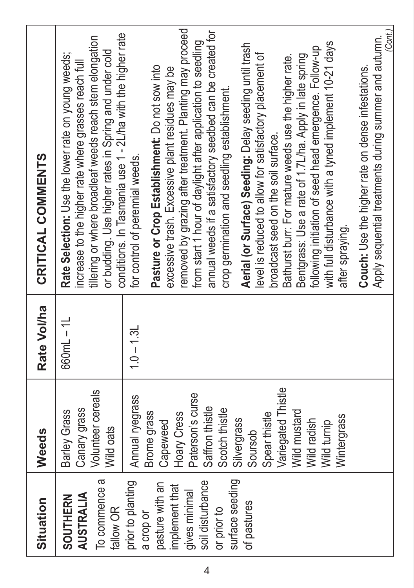| Situation                                                                                                                                                 | Weeds                                                                                                                                                                                                                                            | Rate Vol/ha  | CRITICAL COMMENTS                                                                                                                                                                                                                                                                                                                                                                                                                                                                                                                                                                                                                                                                                                                                                                                   |
|-----------------------------------------------------------------------------------------------------------------------------------------------------------|--------------------------------------------------------------------------------------------------------------------------------------------------------------------------------------------------------------------------------------------------|--------------|-----------------------------------------------------------------------------------------------------------------------------------------------------------------------------------------------------------------------------------------------------------------------------------------------------------------------------------------------------------------------------------------------------------------------------------------------------------------------------------------------------------------------------------------------------------------------------------------------------------------------------------------------------------------------------------------------------------------------------------------------------------------------------------------------------|
| To commence a<br>AUSTRALIA<br><b>SOUTHERN</b><br>fallow OR                                                                                                | Volunteer cereals<br>Canary grass<br>Barley Grass<br>Wild oats                                                                                                                                                                                   | $660mL - 1L$ | conditions. In Tasmania use 1 - 2L/ha with the higher rate<br>tillering or where broadleaf weeds reach stem elongation<br>or budding. Use higher rates in Spring and under cold<br>Rate Selection: Use the lower rate on young weeds;<br>increase to the higher rate where grasses reach full                                                                                                                                                                                                                                                                                                                                                                                                                                                                                                       |
| surface seeding<br>prior to planting<br>soil disturbance<br>pasture with an<br>implement that<br>gives minimal<br>of pastures<br>or prior to<br>a crop or | Variegated Thistle<br>Paterson's curse<br>Annual ryegrass<br>Saffron thistle<br>Scotch thistle<br>Wild mustard<br>Spear thistle<br>Brome grass<br>Hoary Cress<br>Wintergrass<br>Silvergrass<br>Wild radish<br>Wild turnip<br>Capeweed<br>Soursob | $1.0 - 1.31$ | removed by grazing after treatment. Planting may proceed<br>annual weeds if a satisfactory seedbed can be created for<br>from start 1 hour of daylight after application to seedling<br>with full disturbance with a tyned implement 10-21 days<br>Aerial (or Surface) Seeding: Delay seeding until trash<br>following initiation of seed head emergence. Follow-up<br>level is reduced to allow for satisfactory placement of<br>Bentgrass: Use a rate of 1.7L/ha. Apply in late spring<br>Bathurst burr: For mature weeds use the higher rate.<br>Pasture or Crop Establishment: Do not sow into<br>excessive trash. Excessive plant residues may be<br>crop germination and seedling establishment.<br>broadcast seed on the soil surface.<br>for control of perennial weeds.<br>after spraying. |
|                                                                                                                                                           |                                                                                                                                                                                                                                                  |              | (Cont.)<br>Apply sequential treatments during summer and autumn.<br>Couch: Use the higher rate on dense infestations.                                                                                                                                                                                                                                                                                                                                                                                                                                                                                                                                                                                                                                                                               |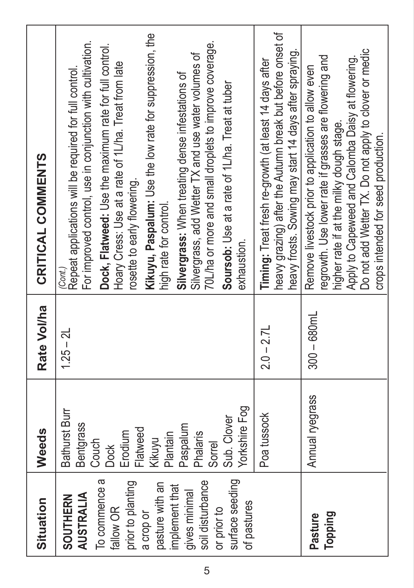| Situation                                                                                                                                                                                                               | Weeds                                                                                                                                                                    | Rate Vol/ha    | CRITICAL COMMENTS                                                                                                                                                                                                                                                                                                                                                                                                                                                                                                                                                                                            |
|-------------------------------------------------------------------------------------------------------------------------------------------------------------------------------------------------------------------------|--------------------------------------------------------------------------------------------------------------------------------------------------------------------------|----------------|--------------------------------------------------------------------------------------------------------------------------------------------------------------------------------------------------------------------------------------------------------------------------------------------------------------------------------------------------------------------------------------------------------------------------------------------------------------------------------------------------------------------------------------------------------------------------------------------------------------|
| To commence a<br>surface seeding<br>soil disturbance<br>prior to planting<br>pasture with an<br>implement that<br>gives minimal<br><b>AUSTRALIA</b><br>SOUTHERN<br>of pastures<br>or prior to<br>fallow OR<br>a crop or | Yorkshire Fog<br><b>Bathurst Burr</b><br>Sub. Clover<br><b>Bentgrass</b><br>Paspalum<br>Flatweed<br>Erodium<br>Phalaris<br>Plantain<br>Kikuyu<br>Couch<br>Sorrel<br>Dock | $125 - 21$     | Kikuyu, Paspalum: Use the low rate for suppression, the<br>For improved control, use in conjunction with cultivation.<br>70L/ha or more and small droplets to improve coverage.<br>Dock, Flatweed: Use the maximum rate for full control.<br>Silvergrass, add Wetter TX and use water volumes of<br>Hoary Cress: Use at a rate of 1L/ha. Treat from late<br>Repeat applications will be required for full control.<br>Silvergrass: When treating dense infestations of<br>Soursob: Use at a rate of 1L/ha. Treat at tuber<br>rosette to early flowering.<br>high rate for control.<br>exhaustion.<br>(Cont.) |
|                                                                                                                                                                                                                         | Poa tussock                                                                                                                                                              | $2.0 - 2.7L$   | heavy grazing) after the Autumn break but before onset of<br>neavy frosts. Sowing may start 14 days after spraying.<br>Timing: Treat fresh re-growth (at least 14 days after                                                                                                                                                                                                                                                                                                                                                                                                                                 |
| Topping<br>Pasture                                                                                                                                                                                                      | Annual ryegrass                                                                                                                                                          | $300 - 680$ mL | Do not add Wetter TX. Do not apply to clover or medic<br>regrowth. Use lower rate if grasses are flowering and<br>Apply to Capeweed and Calomba Daisy at flowering.<br>Remove livestock prior to application to allow even<br>higher rate if at the milky dough stage.<br>crops intended for seed production.                                                                                                                                                                                                                                                                                                |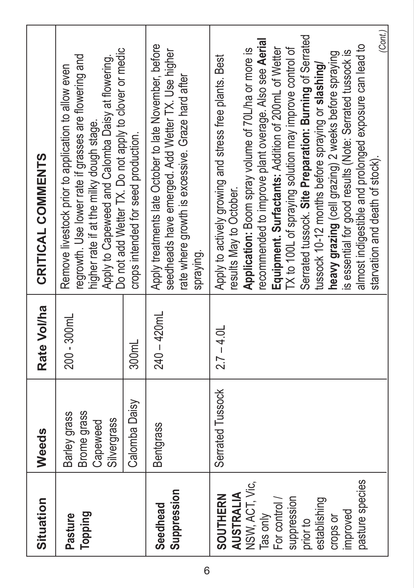| Situation                                                                                                                                                       | Weeds                                                         | Rate Vol/ha    | CRITICAL COMMENTS                                                                                                                                                                                                                                                                                                                                                                                                                                                                                                                                                                                                                                              |
|-----------------------------------------------------------------------------------------------------------------------------------------------------------------|---------------------------------------------------------------|----------------|----------------------------------------------------------------------------------------------------------------------------------------------------------------------------------------------------------------------------------------------------------------------------------------------------------------------------------------------------------------------------------------------------------------------------------------------------------------------------------------------------------------------------------------------------------------------------------------------------------------------------------------------------------------|
| Topping<br>Pasture                                                                                                                                              | <b>Brome</b> grass<br>Barley grass<br>Silvergrass<br>Capeweed | $200 - 300$ mL | Do not add Wetter TX. Do not apply to clover or medic<br>Apply to Capeweed and Calomba Daisy at flowering.<br>regrowth. Use lower rate if grasses are flowering and<br>Remove livestock prior to application to allow even<br>higher rate if at the milky dough stage.                                                                                                                                                                                                                                                                                                                                                                                         |
|                                                                                                                                                                 | Calomba Daisy                                                 | 300mL          | crops intended for seed production.                                                                                                                                                                                                                                                                                                                                                                                                                                                                                                                                                                                                                            |
| Suppression<br>Seedhead                                                                                                                                         | <b>Bentgrass</b>                                              | $240 - 420$ mL | Apply treatments late October to late November, before<br>seedheads have emerged. Add Wetter TX. Use higher<br>rate where growth is excessive. Graze hard after<br>spraying.                                                                                                                                                                                                                                                                                                                                                                                                                                                                                   |
| pasture species<br>NSW, ACT, Vic,<br>AUSTRALIA<br><b>SOUTHERN</b><br>suppression<br>establishing<br>For control<br>improved<br>Tas only<br>crops or<br>prior to | Serrated Tussock                                              | $2.7 - 4.0$ L  | (Cont.)<br>Serrated tussock. Site Preparation: Burning of Serrated<br>recommended to improve plant overage. Also see Aerial<br>almost indigestible and prolonged exposure can lead to<br>Equipment. Surfactants: Addition of 200mL of Wetter<br>TX to 100L of spraying solution may improve control of<br>Application: Boom spray volume of 70L/ha or more is<br>is essential for good results (Note: Serrated tussock is<br>heavy grazing (cell grazing) 2 weeks before spraying<br>Apply to actively growing and stress free plants. Best<br>tussock 10-12 months before spraying or slashing/<br>starvation and death of stock).<br>results May to October. |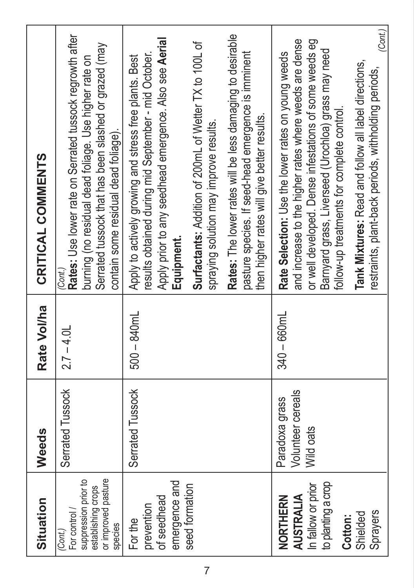| Situation                                                                                                   | Weeds                                            | Rate Vol/ha    | CRITICAL COMMENTS                                                                                                                                                                                                                                                                                                                                                                                                                                            |
|-------------------------------------------------------------------------------------------------------------|--------------------------------------------------|----------------|--------------------------------------------------------------------------------------------------------------------------------------------------------------------------------------------------------------------------------------------------------------------------------------------------------------------------------------------------------------------------------------------------------------------------------------------------------------|
| or improved pasture<br>suppression prior to<br>establishing crops<br>For control /<br>species<br>(Cont.)    | Serrated Tussock                                 | $2.7 - 4.0$ L  | Rates: Use lower rate on Serrated tussock regrowth after<br>Serrated tussock that has been slashed or grazed (may<br>burning (no residual dead foliage. Use higher rate on<br>contain some residual dead foliage).<br>(Cont.)                                                                                                                                                                                                                                |
| emergence and<br>seed formation<br>of seedhead<br>prevention<br>For the                                     | Serrated Tussock                                 | $500 - 840$ mL | Rates: The lower rates will be less damaging to desirable<br>Apply prior to any seedhead emergence. Also see Aerial<br>Surfactants: Addition of 200mL of Wetter TX to 100L of<br>pasture species. If seed-head emergence is imminent<br>esults obtained during mid September - mid October.<br>Apply to actively growing and stress free plants. Best<br>then higher rates will give better results.<br>spraying solution may improve results.<br>Equipment. |
| to planting a crop<br>In fallow or prior<br><b>AUSTRALIA</b><br>NORTHERN<br>Sprayers<br>Shielded<br>Cotton: | Volunteer cereals<br>Paradoxa grass<br>Wild oats | $340 - 660$ mL | (Cont.)<br>and increase to the higher rates where weeds are dense<br>or well developed. Dense infestations of some weeds eg<br>Barnyard grass, Liverseed (Urochloa) grass may need<br>Rate Selection: Use the lower rates on young weeds<br>Tank Mixtures: Read and follow all label directions,<br>restraints, plant-back periods, withholding periods,<br>follow-up treatments for complete control.                                                       |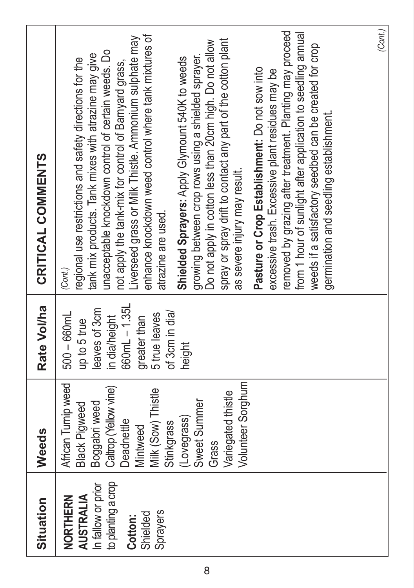| Situation                                                                                                   | Weeds                                                                                                                                                                                                                                  | Rate Vol/ha                                                                                                                                  | CRITICAL COMMENTS                                                                                                                                                                                                                                                                                                                                                                                                                                                                                                                                                                                                                                                                                                                                                                                                                                                                                                                                                                               |
|-------------------------------------------------------------------------------------------------------------|----------------------------------------------------------------------------------------------------------------------------------------------------------------------------------------------------------------------------------------|----------------------------------------------------------------------------------------------------------------------------------------------|-------------------------------------------------------------------------------------------------------------------------------------------------------------------------------------------------------------------------------------------------------------------------------------------------------------------------------------------------------------------------------------------------------------------------------------------------------------------------------------------------------------------------------------------------------------------------------------------------------------------------------------------------------------------------------------------------------------------------------------------------------------------------------------------------------------------------------------------------------------------------------------------------------------------------------------------------------------------------------------------------|
| to planting a crop<br>In fallow or prior<br><b>AUSTRALIA</b><br>NORTHERN<br>Sprayers<br>Shielded<br>Cotton: | African Turnip weed<br>Volunteer Sorghum<br>Caltrop (Yellow vine)<br>Milk (Sow) Thistle<br>Variegated thistle<br>Sweet Summer<br>Boggabri weed<br><b>Black Pigweed</b><br>(Lovegrass)<br>Deadnettle<br>Stinkgrass<br>Mintweed<br>Grass | 660mL-1.35L<br>leaves of 3cm<br>of 3cm in dia/<br>$500 - 660$ mL<br>5 true leaves<br>in dia/height<br>greater than<br>up to 5 true<br>height | removed by grazing after treatment. Planting may proceed<br>from 1 hour of sunlight after application to seedling annual<br>enhance knockdown weed control where tank mixtures of<br>iverseed grass or Milk Thistle. Ammonium sulphate may<br>spray or spray drift to contact any part of the cotton plant<br>Do not apply in cotton less than 20cm high. Do not allow<br>weeds if a satisfactory seedbed can be created for crop<br>unacceptable knockdown control of certain weeds. Do<br>tank mix products. Tank mixes with atrazine may give<br>growing between crop rows using a shielded sprayer.<br>Shielded Sprayers: Apply Glymount 540K to weeds<br>egional use restrictions and safety directions for the<br>not apply the tank-mix for control of Barnyard grass,<br>Pasture or Crop Establishment: Do not sow into<br>excessive trash. Excessive plant residues may be<br>germination and seedling establishment.<br>as severe injury may result.<br>atrazine are used.<br>(Cont.) |
|                                                                                                             |                                                                                                                                                                                                                                        |                                                                                                                                              | (Cont)                                                                                                                                                                                                                                                                                                                                                                                                                                                                                                                                                                                                                                                                                                                                                                                                                                                                                                                                                                                          |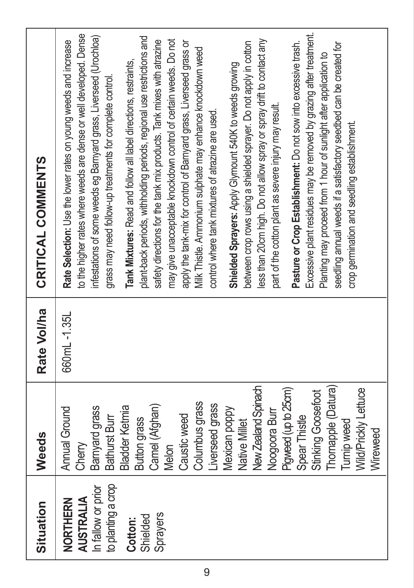| Situation                                                                                            | Weeds                                                                                                                                                                                                                                                                                                                                                                                                               | Rate Vol/ha | CRITICAL COMMENTS                                                                                                                                                                                                                                                                                                                                                                                                                                                                                                                                                                                                                                                                                                                                                                                                                                                                                                                                                                                                                                                                                                                                                                                                                                                                                                                                                      |
|------------------------------------------------------------------------------------------------------|---------------------------------------------------------------------------------------------------------------------------------------------------------------------------------------------------------------------------------------------------------------------------------------------------------------------------------------------------------------------------------------------------------------------|-------------|------------------------------------------------------------------------------------------------------------------------------------------------------------------------------------------------------------------------------------------------------------------------------------------------------------------------------------------------------------------------------------------------------------------------------------------------------------------------------------------------------------------------------------------------------------------------------------------------------------------------------------------------------------------------------------------------------------------------------------------------------------------------------------------------------------------------------------------------------------------------------------------------------------------------------------------------------------------------------------------------------------------------------------------------------------------------------------------------------------------------------------------------------------------------------------------------------------------------------------------------------------------------------------------------------------------------------------------------------------------------|
| to planting a crop<br>In fallow or prior<br>AUSTRALIA<br>NORTHERN<br>Sprayers<br>Shielded<br>Cotton: | New Zealand Spinach<br>Thornapple (Datura)<br>Pigweed (up to 25cm)<br>Wild/Prickly Lettuce<br>Stinking Goosefoot<br>Columbus grass<br>Liverseed grass<br>Camel (Afghan)<br>Bamyard grass<br><b>Bladder Ketmia</b><br>Annual Ground<br>Mexican poppy<br>Noogoora Burr<br>Spear Thistle<br>Caustic weed<br>Bathurst Burr<br><b>Button grass</b><br>Native Millet<br><b>Turnip weed</b><br>Wireweed<br>Cherry<br>Melon | 660mL-1.35L | to the higher rates where weeds are dense or well developed. Dense<br>Excessive plant residues may be removed by grazing after treatment.<br>plant-back periods, withholding periods, regional use restrictions and<br>infestations of some weeds eg Barnyard grass, Liverseed (Urochloa)<br>less than 20cm high. Do not allow spray or spray drift to contact any<br>safety directions for the tank mix products. Tank mixes with atrazine<br>may give unacceptable knockdown control of certain weeds. Do not<br>Rate Selection: Use the lower rates on young weeds and increase<br>apply the tank-mix for control of Barnyard grass, Liverseed grass or<br>Pasture or Crop Establishment: Do not sow into excessive trash.<br>between crop rows using a shielded sprayer. Do not apply in cotton<br>seedling annual weeds if a satisfactory seedbed can be created for<br>Milk Thistle. Ammonium sulphate may enhance knockdown weed<br>Planting may proceed from 1 hour of sunlight after application to<br>Tank Mixtures: Read and follow all label directions, restraints,<br>Shielded Sprayers: Apply Glymount 540K to weeds growing<br>grass may need follow-up treatments for complete control.<br>part of the cotton plant as severe injury may result.<br>control where tank mixtures of atrazine are used.<br>crop germination and seedling establishment. |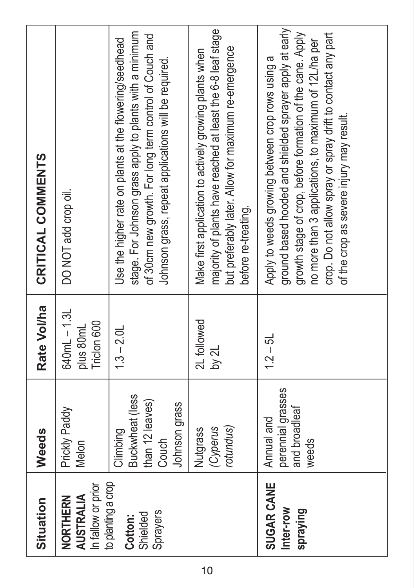| Situation                                             | Weeds                                                                    | Rate Vol/ha                           | CRITICAL COMMENTS                                                                                                                                                                                                                                                                                                                            |
|-------------------------------------------------------|--------------------------------------------------------------------------|---------------------------------------|----------------------------------------------------------------------------------------------------------------------------------------------------------------------------------------------------------------------------------------------------------------------------------------------------------------------------------------------|
| In fallow or prior<br>AUSTRALIA<br>NORTHERN           | Prickly Paddy<br>Melon                                                   | 640mL-1.3L<br>Tridon 600<br>plus 80mL | DO NOT add crop oil.                                                                                                                                                                                                                                                                                                                         |
| to planting a crop<br>Sprayers<br>Shielded<br>Cotton: | Buckwheat (less<br>than 12 leaves)<br>Johnson grass<br>Climbing<br>Couch | $1.3 - 2.01$                          | stage. For Johnson grass apply to plants with a minimum<br>of 30cm new growth. For long term control of Couch and<br>Use the higher rate on plants at the flowering/seedhead<br>Johnson grass, repeat applications will be required.                                                                                                         |
|                                                       | rotundus)<br>(Cyperus<br>Nutgrass                                        | 2L followed<br>by 2L                  | majority of plants have reached at least the 6-8 leaf stage<br>but preferably later. Allow for maximum re-emergence<br>Make first application to actively growing plants when<br>before re-treating.                                                                                                                                         |
| SUGAR CANE<br>Inter-row<br>spraying                   | perennial grasses<br>and broadleaf<br>Annual and<br>weeds                | $12 - 51$                             | ground based hooded and shielded sprayer apply at early<br>growth stage of crop, before formation of the cane. Apply<br>crop. Do not allow spray or spray drift to contact any part<br>no more than 3 applications, to maximum of 12L/ha per<br>Apply to weeds growing between crop rows using a<br>of the crop as severe injury may result. |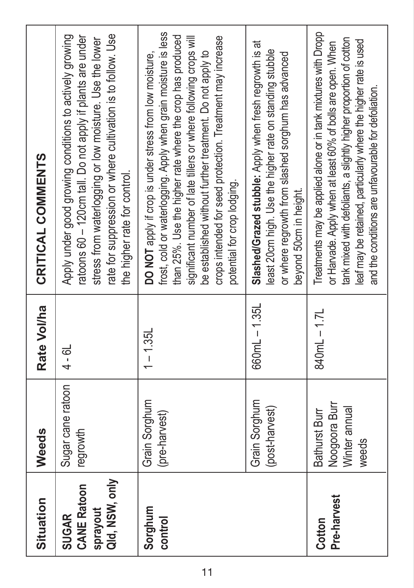| Situation                                                 | Weeds                                                           | Rate Vol/ha | CRITICAL COMMENTS                                                                                                                                                                                                                                                                                                                                                                                                    |
|-----------------------------------------------------------|-----------------------------------------------------------------|-------------|----------------------------------------------------------------------------------------------------------------------------------------------------------------------------------------------------------------------------------------------------------------------------------------------------------------------------------------------------------------------------------------------------------------------|
| Qid, NSW, only<br><b>CANE Ratoon</b><br>sprayout<br>SUGAR | Sugar cane ratoon<br>regrowth                                   | $4 - 6L$    | rate for suppression or where cultivation is to follow. Use<br>Apply under good growing conditions to actively growing<br>ratoons 60 - 120cm tall. Do not apply if plants are under<br>stress from waterlogging or low moisture. Use the lower<br>the higher rate for control.                                                                                                                                       |
| Sorghum<br>control                                        | Grain Sorghum<br>(pre-harvest)                                  | $1 - 1.35L$ | frost, cold or waterlogging. Apply when grain moisture is less<br>than 25%. Use the higher rate where the crop has produced<br>crops intended for seed protection. Treatment may increase<br>significant number of late tillers or where following crops will<br>be established without further treatment. Do not apply to<br>DO NOT apply if crop is under stress from low moisture,<br>potential for crop lodging. |
|                                                           | Grain Sorghum<br>(post-harvest)                                 | 660mL-1.35L | Slashed/Grazed stubble: Apply when fresh regrowth is at<br>least 20cm high. Use the higher rate on standing stubble<br>or where regrowth from slashed sorghum has advanced<br>beyond 50cm in height.                                                                                                                                                                                                                 |
| Pre-harvest<br>Cotton                                     | Noogoora Burr<br>Winter annual<br><b>Bathurst Burr</b><br>weeds | 840mL-1.7L  | Treatments may be applied alone or in tank mixtures with Dropp<br>tank mixed with defoliants, a slightly higher proportion of cotton<br>leaf may be retained, particularly where the higher rate is used<br>or Harvade. Apply when at least 60% of bolls are open. When<br>and the conditions are unfavourable for defoliation.                                                                                      |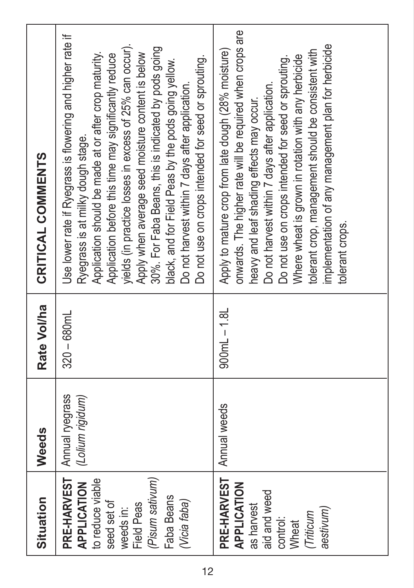| Situation                                                                                                                                        | Weeds                               | Rate Vol/ha    | CRITICAL COMMENTS                                                                                                                                                                                                                                                                                                                                                                                                                                                                                                                                          |
|--------------------------------------------------------------------------------------------------------------------------------------------------|-------------------------------------|----------------|------------------------------------------------------------------------------------------------------------------------------------------------------------------------------------------------------------------------------------------------------------------------------------------------------------------------------------------------------------------------------------------------------------------------------------------------------------------------------------------------------------------------------------------------------------|
| PRE-HARVEST<br>(Pisum sativum)<br>to reduce viable<br>APPLICATION<br>Faba Beans<br>(Vicia faba)<br>seed set of<br><b>Field Peas</b><br>weeds in: | Annual ryegrass<br>(Lolium rigidum) | $320 - 680$ mL | Use lower rate if Ryegrass is flowering and higher rate if<br>yields (in practice losses in excess of 25% can occur).<br>30%. For Faba Beans, this is indicated by pods going<br>Apply when average seed moisture content is below<br>Application should be made at or after crop maturity.<br>Application before this time may significantly reduce<br>Do not use on crops intended for seed or sprouting.<br>black, and for Field Peas by the pods going yellow.<br>Do not harvest within 7 days after application.<br>Ryegrass is at milky dough stage. |
| PRE-HARVEST<br><b>APPLICATION</b><br>aid and weed<br>as harvest<br>aestivum)<br>Triticum<br>control:<br>Wheat                                    | Annual weeds                        | $900mL - 1.8L$ | onwards. The higher rate will be required when crops are<br>implementation of any management plan for herbicide<br>Apply to mature crop from late dough (28% moisture)<br>tolerant crop, management should be consistent with<br>Where wheat is grown in rotation with any herbicide<br>Do not use on crops intended for seed or sprouting.<br>Do not harvest within 7 days after application.<br>heavy and leaf shading effects may occur.<br>tolerant crops.                                                                                             |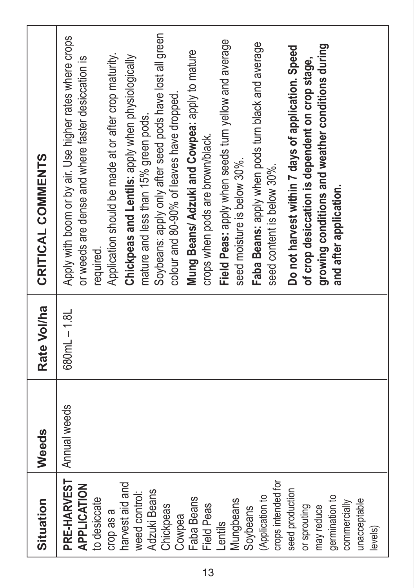| Situation                                                                                                                                                                                                                                                                                                                                                                      | Weeds        | Rate Vol/ha | CRITICAL COMMENTS                                                                                                                                                                                                                                                                                                                                                                                                                                                                                                                                                                                                                                                                                                                                                                                                                               |
|--------------------------------------------------------------------------------------------------------------------------------------------------------------------------------------------------------------------------------------------------------------------------------------------------------------------------------------------------------------------------------|--------------|-------------|-------------------------------------------------------------------------------------------------------------------------------------------------------------------------------------------------------------------------------------------------------------------------------------------------------------------------------------------------------------------------------------------------------------------------------------------------------------------------------------------------------------------------------------------------------------------------------------------------------------------------------------------------------------------------------------------------------------------------------------------------------------------------------------------------------------------------------------------------|
| PRE-HARVEST<br>crops intended for<br>harvest aid and<br><b>APPLICATION</b><br>seed production<br>Adzuki Beans<br>weed control:<br>(Application to<br>germination to<br><b>Faba Beans</b><br>to desiccate<br>Mungbeans<br>unacceptable<br>commercially<br><b>Field Peas</b><br>Chickpeas<br>or sprouting<br>may reduce<br>Soybeans<br>crop as a<br>Cowpea<br>Lentils<br>levels) | Annual weeds | 680mL-1.8L  | Soybeans: apply only after seed pods have lost all green<br>Apply with boom or by air. Use higher rates where crops<br>Field Peas: apply when seeds tum yellow and average<br>Faba Beans: apply when pods tum black and average<br>growing conditions and weather conditions during<br>Do not harvest within 7 days of application. Speed<br>Mung Beans/ Adzuki and Cowpea: apply to mature<br>Application should be made at or after crop maturity.<br>Chickpeas and Lentils: apply when physiologically<br>or weeds are dense and where faster desiccation is<br>of crop desiccation is dependent on crop stage,<br>colour and 80-90% of leaves have dropped.<br>mature and less than 15% green pods.<br>crops when pods are brown/black.<br>seed moisture is below 30%.<br>seed content is below 30%.<br>and after application.<br>required. |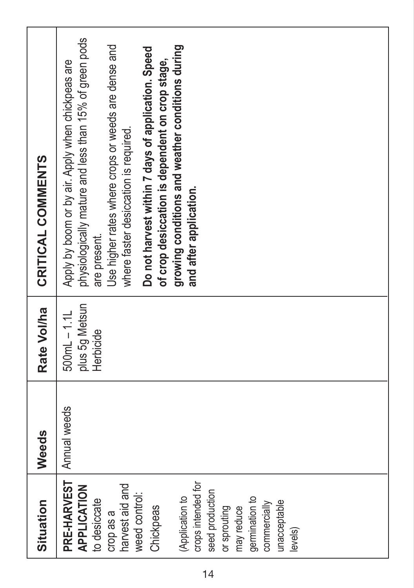| CRITICAL COMMENTS | physiologically mature and less than 15% of green pods<br>growing conditions and weather conditions during<br>Use higher rates where crops or weeds are dense and<br>Do not harvest within 7 days of application. Speed<br>Apply by boom or by air. Apply when chickpeas are<br>of crop desiccation is dependent on crop stage,<br>where faster desiccation is required.<br>and after application.<br>are present. |
|-------------------|--------------------------------------------------------------------------------------------------------------------------------------------------------------------------------------------------------------------------------------------------------------------------------------------------------------------------------------------------------------------------------------------------------------------|
| Rate Vol/ha       | plus 5g Metsun<br>$500mL - 1.1L$<br>Herbicide                                                                                                                                                                                                                                                                                                                                                                      |
| Weeds             | Annual weeds                                                                                                                                                                                                                                                                                                                                                                                                       |
| Situation         | PRE-HARVEST<br>crops intended for<br><b>APPLICATION</b><br>harvest aid and<br>seed production<br>weed control:<br>(Application to<br>germination to<br>to desiccate<br>unacceptable<br>commercially<br>Chickpeas<br>or sprouting<br>may reduce<br>crop as a<br>levels)                                                                                                                                             |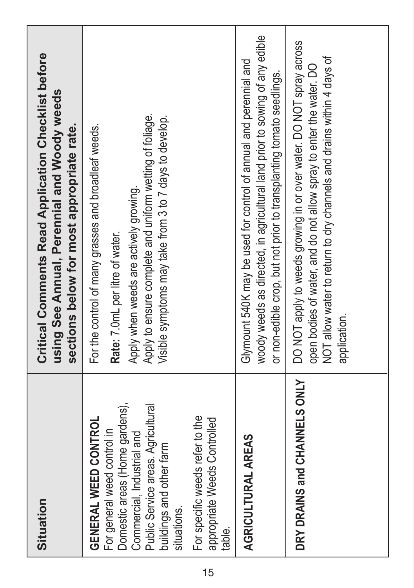| Situation                                                                                                                                                                                                   | <b>Critical Comments Read Application Checklist before</b><br>using See Annual, Perennial and Woody weeds<br>sections below for most appropriate rate.                                                                                                  |
|-------------------------------------------------------------------------------------------------------------------------------------------------------------------------------------------------------------|---------------------------------------------------------------------------------------------------------------------------------------------------------------------------------------------------------------------------------------------------------|
| Domestic areas (Home gardens),<br>Public Service areas. Agricultural<br><b>GENERAL WEED CONTROL</b><br>For general weed control in<br>Commercial, Industrial and<br>buildings and other farm<br>situations. | Apply to ensure complete and uniform wetting of foliage.<br>Visible symptoms may take from 3 to 7 days to develop.<br>For the control of many grasses and broadleaf weeds.<br>Apply when weeds are actively growing.<br>Rate: 7.0mL per litre of water. |
| For specific weeds refer to the<br>appropriate Weeds Controlled<br>table.                                                                                                                                   |                                                                                                                                                                                                                                                         |
| AGRICULTURAL AREAS                                                                                                                                                                                          | woody weeds as directed, in agricultural land prior to sowing of any edible<br>Glymount 540K may be used for control of annual and perennial and<br>or non-edible crop, but not prior to transplanting tomato seedlings.                                |
| DRY DRAINS and CHANNELS ONLY                                                                                                                                                                                | DO NOT apply to weeds growing in or over water. DO NOT spray across<br>NOT allow water to return to dry channels and drains within 4 days of<br>open bodies of water, and do not allow spray to enter the water. DO<br>application.                     |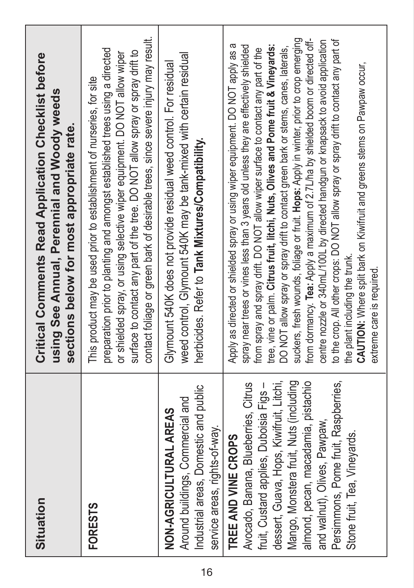| Situation                                                                                                                                                                                                                                                                                                                                   | <b>Critical Comments Read Application Checklist before</b><br>using See Annual, Perennial and Woody weeds<br>sections below for most appropriate rate.                                                                                                                                                                                                                                                                                                                                                                                                                                                                                                                                                                                                                                                                                                                                                                                         |
|---------------------------------------------------------------------------------------------------------------------------------------------------------------------------------------------------------------------------------------------------------------------------------------------------------------------------------------------|------------------------------------------------------------------------------------------------------------------------------------------------------------------------------------------------------------------------------------------------------------------------------------------------------------------------------------------------------------------------------------------------------------------------------------------------------------------------------------------------------------------------------------------------------------------------------------------------------------------------------------------------------------------------------------------------------------------------------------------------------------------------------------------------------------------------------------------------------------------------------------------------------------------------------------------------|
| <b>FORESTS</b>                                                                                                                                                                                                                                                                                                                              | contact foliage or green bark of desirable trees, since severe injury may result.<br>preparation prior to planting and amongst established trees using a directed<br>surface to contact any part of the tree. DO NOT allow spray or spray drift to<br>or shielded spray, or using selective wiper equipment. DO NOT allow wiper<br>This product may be used prior to establishment of nurseries, for site                                                                                                                                                                                                                                                                                                                                                                                                                                                                                                                                      |
| Industrial areas, Domestic and public<br>Around buildings, Commercial and<br>NON-AGRICULTURAL AREAS<br>service areas, rights-of-way.                                                                                                                                                                                                        | weed control, Glymount 540K may be tank-mixed with certain residual<br>Glymount 540K does not provide residual weed control. For residual<br>herbicides. Refer to Tank Mixtures/Compatibility.                                                                                                                                                                                                                                                                                                                                                                                                                                                                                                                                                                                                                                                                                                                                                 |
| Mango, Monstera fruit, Nuts (including<br>Persimmons, Pome fruit, Raspberries,<br>dessert, Guava, Hops, Kiwifruit, Litchi,<br>almond, pecan, macadamia, pistachio<br>Avocado, Banana, Blueberries, Citrus<br>fruit, Custard applies, Duboisia Figs -<br>and walnut), Olives, Pawpaw,<br>Stone fruit, Tea, Vineyards.<br>TREE AND VINE CROPS | suckers, fresh wounds, foliage or fruit. Hops: Apply in winter, prior to crop emerging<br>to the crop. All other crops: DO NOT allow spray or spray drift to contact any part of<br>from dormancy. Tea: Apply a maximum of 2.7L/ha by shielded boom or directed off-<br>centre nozzle or 340mL/100L by directed handgun or knapsack to avoid application<br>Apply as directed or shielded spray or using wiper equipment. DO NOT apply as a<br>spray near trees or vines less than 3 years old unless they are effectively shielded<br>tree, vine or palm. Citrus fruit, litchi, Nuts, Olives and Pome fruit & Vineyards:<br>DO NOT allow spray or spray drift to contact green bark or stems, canes, laterals,<br>from spray and spray drift. DO NOT allow wiper surface to contact any part of the<br>CAUTION: Where split bark on Kiwifruit and greens stems on Pawpaw occur,<br>the plant including the trunk.<br>extreme care is required |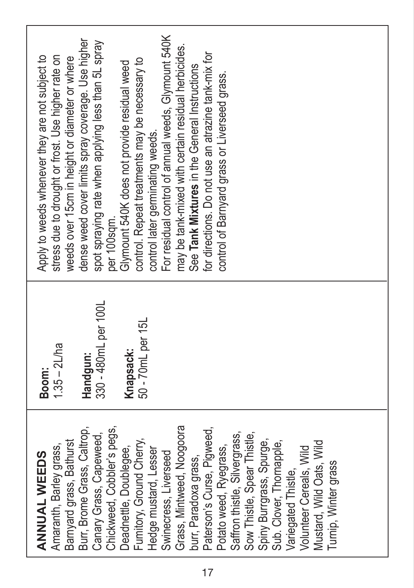| dense weed cover limits spray coverage. Use higher<br>spot spraying rate when applying less than 5L spray<br>Apply to weeds whenever they are not subject to<br>stress due to drought or frost. Use higher rate on<br>weeds over 15cm in height or diameter or where<br>per 100sam. | For residual control of annual weeds, Glymount 540K<br>may be tank-mixed with certain residual herbicides.<br>for directions. Do not use an atrazine tank-mix for<br>control. Repeat treatments may be necessary to<br>Glymount 540K does not provide residual weed<br>See Tank Mixtures in the General Instructions<br>control of Barnyard grass or Liverseed grass.<br>control later germinating weeds.                                        |  |
|-------------------------------------------------------------------------------------------------------------------------------------------------------------------------------------------------------------------------------------------------------------------------------------|--------------------------------------------------------------------------------------------------------------------------------------------------------------------------------------------------------------------------------------------------------------------------------------------------------------------------------------------------------------------------------------------------------------------------------------------------|--|
| 330 - 480mL per 100L<br>$1.35 - 2L$ ha<br>Handgun:<br>Boom:                                                                                                                                                                                                                         | 50 - 70mL per 15L<br>Knapsack:                                                                                                                                                                                                                                                                                                                                                                                                                   |  |
| Chickweed, Cobbler's pegs,<br>Burr, Brome Grass, Caltrop,<br>Canary Grass, Capeweed,<br>Barnyard grass, Bathurst<br>Amaranth, Barley grass,<br><b>ANNUAL WEEDS</b>                                                                                                                  | Grass, Mintweed, Noogoora<br>Paterson's Curse, Pigweed,<br>Saffron thistle, Silvergrass,<br>Sow Thistle, Spear Thistle,<br>Fumitory, Ground Cherry,<br>Spiny Burrgrass, Spurge,<br>Mustard, Wild Oats, Wild<br>Sub. Clover, Thornapple,<br>Deadnettle, Doublegee,<br>Potato weed, Ryegrass,<br>Volunteer Cereals, Wild<br>Hedge mustard, Lesser<br>Swinecress, Liverseed<br>burr, Paradoxa grass,<br>Turnip, Winter grass<br>Variegated Thistle, |  |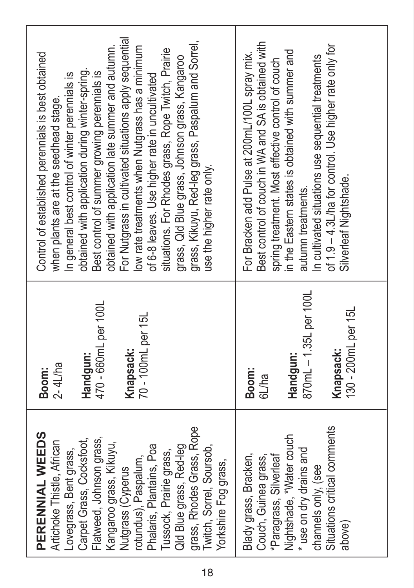| grass, Rhodes Grass, Rope<br>PERENNIAL WEEDS<br>Flatweed, Johnson grass,<br>Carpet Grass, Cocksfoot,<br>Artichoke Thistle, African<br>Kangaroo grass, Kikuyu,<br>Phalaris, Plantains, Poa<br>Qld Blue grass, Red-leg<br>Twitch, Sorrel, Soursob,<br>ovegrass, Bent grass,<br>Tussock, Prairie grass,<br>rotundus), Paspalum,<br>Yorkshire Fog grass,<br>Nutgrass (Cyperus | 470 - 660mL per 100L<br>70 - 100mL per 15L<br>Knapsack:<br>Handqun:<br>$2 - 4$ L/ha<br>Boom: | For Nutgrass in cultivated situations apply sequential<br>grass, Kikuyu, Red-leg grass, Paspalum and Sorrel,<br>low rate treatments when Nutgrass has a minimum<br>obtained with application late summer and autumn.<br>situations. For Rhodes grass, Rope Twitch, Prairie<br>Control of established perennials is best obtained<br>grass, Qld Blue grass, Johnson grass, Kangaroo<br>obtained with application during winter-spring.<br>Best control of summer growing perennials is<br>In general best control of winter perennials is<br>of 6-8 leaves. Use higher rate in uncultivated<br>when plants are at the seedhead stage.<br>use the higher rate only. |
|---------------------------------------------------------------------------------------------------------------------------------------------------------------------------------------------------------------------------------------------------------------------------------------------------------------------------------------------------------------------------|----------------------------------------------------------------------------------------------|-------------------------------------------------------------------------------------------------------------------------------------------------------------------------------------------------------------------------------------------------------------------------------------------------------------------------------------------------------------------------------------------------------------------------------------------------------------------------------------------------------------------------------------------------------------------------------------------------------------------------------------------------------------------|
| Situations critical comments<br>Nightshade, *Water couch<br>* use on dry drains and<br>Blady grass, Bracken,<br>*Paragrass, Silverleaf<br>Couch, Guinea grass,<br>channels only, (see<br>above)                                                                                                                                                                           | 870mL - 1.35L per 100L<br>130 - 200mL per 15L<br>Knapsack:<br>Handqun:<br>Boom:<br>6L/ha     | Best control of couch in WA and SA is obtained with<br>of 1.9 - 4.3L/ha for control. Use higher rate only for<br>in the Eastern states is obtained with summer and<br>For Bracken add Pulse at 200mL/100L spray mix.<br>In cultivated situations use sequential treatments<br>spring treatment. Most effective control of couch<br>Silverleaf Nightshade.<br>autumn treatments.                                                                                                                                                                                                                                                                                   |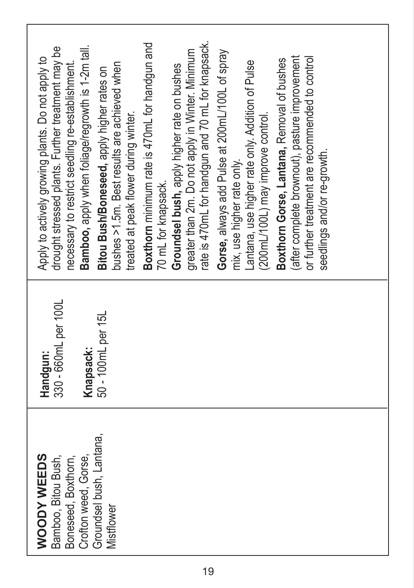| Boxthorn minimum rate is 470mL for handgun and<br>rate is 470mL for handgun and 70 mL for knapsack.<br>drought stressed plants. Further treatment may be<br>Bamboo, apply when foliage/regrowth is 1-2m tall.<br>greater than 2m. Do not apply in Winter. Minimum<br>Gorse, always add Pulse at 200mL/100L of spray<br>after complete brownout), pasture improvement<br>or further treatment are recommended to control<br>Apply to actively growing plants. Do not apply to<br>Boxthorn Gorse, Lantana, Removal of bushes<br>antana, use higher rate only. Addition of Pulse<br>necessary to restrict seedling re-establishment.<br>bushes >1.5m. Best results are achieved when<br>Groundsel bush, apply higher rate on bushes<br>Bitou Bush/Boneseed, apply higher rates on<br>treated at peak flower during winter.<br>(200mL/100L) may improve control.<br>seedlings and/or re-growth.<br>mix, use higher rate only.<br>70 mL for knapsack. |  |
|--------------------------------------------------------------------------------------------------------------------------------------------------------------------------------------------------------------------------------------------------------------------------------------------------------------------------------------------------------------------------------------------------------------------------------------------------------------------------------------------------------------------------------------------------------------------------------------------------------------------------------------------------------------------------------------------------------------------------------------------------------------------------------------------------------------------------------------------------------------------------------------------------------------------------------------------------|--|
| 330 - 660mL per 100L<br>50 - 100mL per 15L<br>Knapsack:<br>Handgun:                                                                                                                                                                                                                                                                                                                                                                                                                                                                                                                                                                                                                                                                                                                                                                                                                                                                              |  |
| Groundsel bush, Lantana,<br><b>WOODY WEEDS</b><br>Bamboo, Bitou Bush,<br>Boneseed, Boxthorn,<br>Crofton weed, Gorse,<br>Mistflower                                                                                                                                                                                                                                                                                                                                                                                                                                                                                                                                                                                                                                                                                                                                                                                                               |  |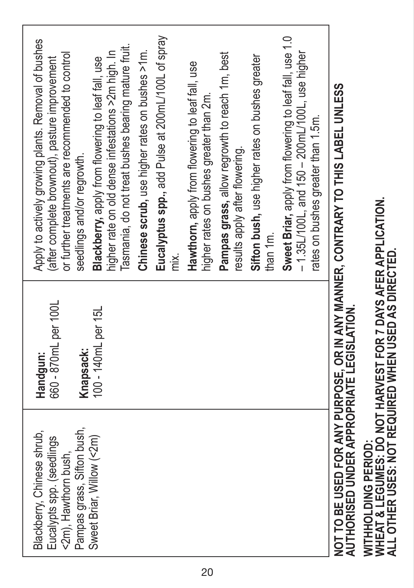| Blackberry, Chinese shrub,<br>Eucalypts spp. (seedlings<br><2m), Hawthorn bush, | 660 - 870mL per 100L<br>Handgun: | Apply to actively growing plants. Removal of bushes<br>or further treatments are recommended to control<br>(after complete brownout), pasture improvement |
|---------------------------------------------------------------------------------|----------------------------------|-----------------------------------------------------------------------------------------------------------------------------------------------------------|
| Pampas grass, Sifton bush,                                                      | Knapsack:                        | seedlings and/or regrowth.                                                                                                                                |
| Sweet Briar, Willow (<2m)                                                       | 100 - 140mL per 15L              | Blackberry, apply from flowering to leaf fall, use                                                                                                        |
|                                                                                 |                                  | Tasmania, do not treat bushes bearing mature fruit.<br>higher rate on old dense infestations >2m high. In                                                 |
|                                                                                 |                                  | Chinese scrub, use higher rates on bushes >1m.                                                                                                            |
|                                                                                 |                                  | Eucalyptus spp., add Pulse at 200mL/100L of spray<br>mx.                                                                                                  |
|                                                                                 |                                  | Hawthorn, apply from flowering to leaf fall, use<br>higher rates on bushes greater than 2m.                                                               |
|                                                                                 |                                  | Pampas grass, allow regrowth to reach 1m, best<br>results apply after flowering.                                                                          |
|                                                                                 |                                  | Sifton bush, use higher rates on bushes greater<br>than 1m.                                                                                               |
|                                                                                 |                                  | Sweet Briar, apply from flowering to leaf fall, use 1.0<br>- 1.35L/100L, and 150 - 200mL/100L, use higher<br>rates on bushes greater than 1.5m.           |
| AUTHORISED UNDER APPROPRIATE LEGISLATION.                                       |                                  | NOT TO BE USED FOR ANY PURPOSE, OR IN ANY MANNER, CONTRARY TO THIS LABEL UNLESS                                                                           |

# WITHHOLDING PERIOD:<br>WHEAT & LEGUMES: DO NOT HARVEST FOR 7 DAYS AFER APPLICATION.<br>ALL OTHER USES: NOT REQUIRED WHEN USED AS DIRECTED. **WHEAT & LEGUMES: DO NOT HARVEST FOR 7 DAYS AFER APPLICATION. ALL OTHER USES: NOT REQUIRED WHEN USED AS DIRECTED.WITHHOLDING PERIOD:**

20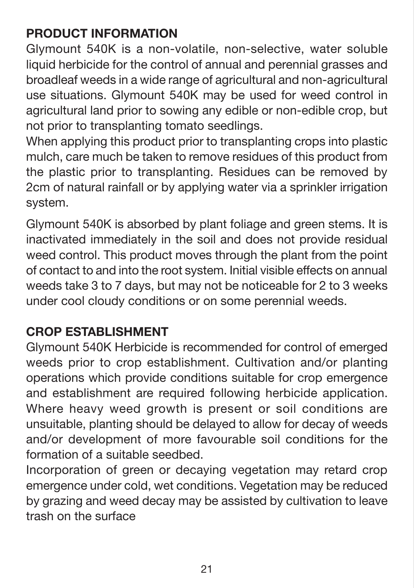#### **PRODUCT INFORMATION**

Glymount 540K is a non-volatile, non-selective, water soluble liquid herbicide for the control of annual and perennial grasses and broadleaf weeds in a wide range of agricultural and non-agricultural use situations. Glymount 540K may be used for weed control in agricultural land prior to sowing any edible or non-edible crop, but not prior to transplanting tomato seedlings.

When applying this product prior to transplanting crops into plastic mulch, care much be taken to remove residues of this product from the plastic prior to transplanting. Residues can be removed by 2cm of natural rainfall or by applying water via a sprinkler irrigation system.

Glymount 540K is absorbed by plant foliage and green stems. It is inactivated immediately in the soil and does not provide residual weed control. This product moves through the plant from the point of contact to and into the root system. Initial visible effects on annual weeds take 3 to 7 days, but may not be noticeable for 2 to 3 weeks under cool cloudy conditions or on some perennial weeds.

#### **CROP ESTABLISHMENT**

Glymount 540K Herbicide is recommended for control of emerged weeds prior to crop establishment. Cultivation and/or planting operations which provide conditions suitable for crop emergence and establishment are required following herbicide application. Where heavy weed growth is present or soil conditions are unsuitable, planting should be delayed to allow for decay of weeds and/or development of more favourable soil conditions for the formation of a suitable seedbed.

Incorporation of green or decaying vegetation may retard crop emergence under cold, wet conditions. Vegetation may be reduced by grazing and weed decay may be assisted by cultivation to leave trash on the surface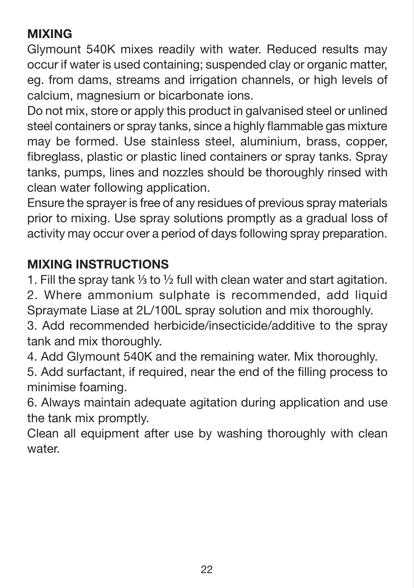#### **MIXING**

Glymount 540K mixes readily with water. Reduced results may occur if water is used containing; suspended clay or organic matter, eg. from dams, streams and irrigation channels, or high levels of calcium, magnesium or bicarbonate ions.

Do not mix, store or apply this product in galvanised steel or unlined steel containers or spray tanks, since a highly flammable gas mixture may be formed. Use stainless steel, aluminium, brass, copper, fibreglass, plastic or plastic lined containers or spray tanks. Spray tanks, pumps, lines and nozzles should be thoroughly rinsed with clean water following application.

Ensure the sprayer is free of any residues of previous spray materials prior to mixing. Use spray solutions promptly as a gradual loss of activity may occur over a period of days following spray preparation.

#### **MIXING INSTRUCTIONS**

1. Fill the spray tank  $\frac{1}{3}$  to  $\frac{1}{2}$  full with clean water and start agitation.

2. Where ammonium sulphate is recommended, add liquid Spraymate Liase at 2L/100L spray solution and mix thoroughly.

3. Add recommended herbicide/insecticide/additive to the spray tank and mix thoroughly.

4. Add Glymount 540K and the remaining water. Mix thoroughly.

5. Add surfactant, if required, near the end of the filling process to minimise foaming.

6. Always maintain adequate agitation during application and use the tank mix promptly.

Clean all equipment after use by washing thoroughly with clean water.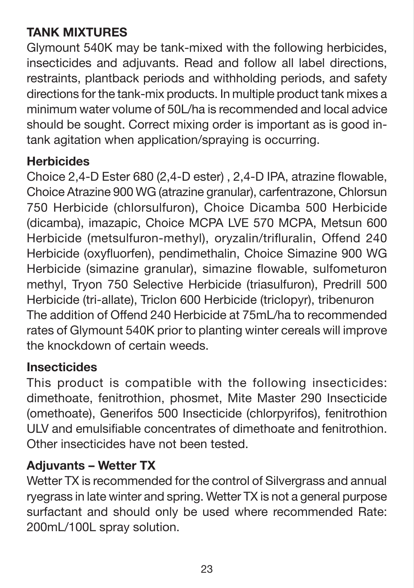#### **TANK MIXTURES**

Glymount 540K may be tank-mixed with the following herbicides, insecticides and adjuvants. Read and follow all label directions, restraints, plantback periods and withholding periods, and safety directions for the tank-mix products. In multiple product tank mixes a minimum water volume of 50L/ha is recommended and local advice should be sought. Correct mixing order is important as is good intank agitation when application/spraying is occurring.

#### **Herbicides**

Choice 2,4-D Ester 680 (2,4-D ester) , 2,4-D IPA, atrazine flowable, Choice Atrazine 900 WG (atrazine granular), carfentrazone, Chlorsun 750 Herbicide (chlorsulfuron), Choice Dicamba 500 Herbicide (dicamba), imazapic, Choice MCPA LVE 570 MCPA, Metsun 600 Herbicide (metsulfuron-methyl), oryzalin/trifluralin, Offend 240 Herbicide (oxyfluorfen), pendimethalin, Choice Simazine 900 WG Herbicide (simazine granular), simazine flowable, sulfometuron methyl, Tryon 750 Selective Herbicide (triasulfuron), Predrill 500 Herbicide (tri-allate), Triclon 600 Herbicide (triclopyr), tribenuron The addition of Offend 240 Herbicide at 75mL/ha to recommended rates of Glymount 540K prior to planting winter cereals will improve the knockdown of certain weeds.

#### **Insecticides**

This product is compatible with the following insecticides: dimethoate, fenitrothion, phosmet, Mite Master 290 Insecticide (omethoate), Generifos 500 Insecticide (chlorpyrifos), fenitrothion ULV and emulsifiable concentrates of dimethoate and fenitrothion. Other insecticides have not been tested.

#### **Adjuvants – Wetter TX**

Wetter TX is recommended for the control of Silvergrass and annual ryegrass in late winter and spring. Wetter TX is not a general purpose surfactant and should only be used where recommended Rate: 200mL/100L spray solution.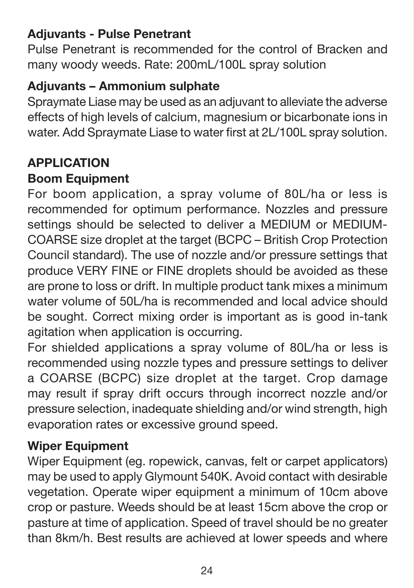#### **Adjuvants - Pulse Penetrant**

Pulse Penetrant is recommended for the control of Bracken and many woody weeds. Rate: 200mL/100L spray solution

#### **Adjuvants – Ammonium sulphate**

Spraymate Liase may be used as an adjuvant to alleviate the adverse effects of high levels of calcium, magnesium or bicarbonate ions in water. Add Spraymate Liase to water first at 2L/100L spray solution.

#### **APPLICATION**

#### **Boom Equipment**

For boom application, a spray volume of 80L/ha or less is recommended for optimum performance. Nozzles and pressure settings should be selected to deliver a MEDIUM or MEDIUM-COARSE size droplet at the target (BCPC – British Crop Protection Council standard). The use of nozzle and/or pressure settings that produce VERY FINE or FINE droplets should be avoided as these are prone to loss or drift. In multiple product tank mixes a minimum water volume of 50L/ha is recommended and local advice should be sought. Correct mixing order is important as is good in-tank agitation when application is occurring.

For shielded applications a spray volume of 80L/ha or less is recommended using nozzle types and pressure settings to deliver a COARSE (BCPC) size droplet at the target. Crop damage may result if spray drift occurs through incorrect nozzle and/or pressure selection, inadequate shielding and/or wind strength, high evaporation rates or excessive ground speed.

#### **Wiper Equipment**

Wiper Equipment (eg. ropewick, canvas, felt or carpet applicators) may be used to apply Glymount 540K. Avoid contact with desirable vegetation. Operate wiper equipment a minimum of 10cm above crop or pasture. Weeds should be at least 15cm above the crop or pasture at time of application. Speed of travel should be no greater than 8km/h. Best results are achieved at lower speeds and where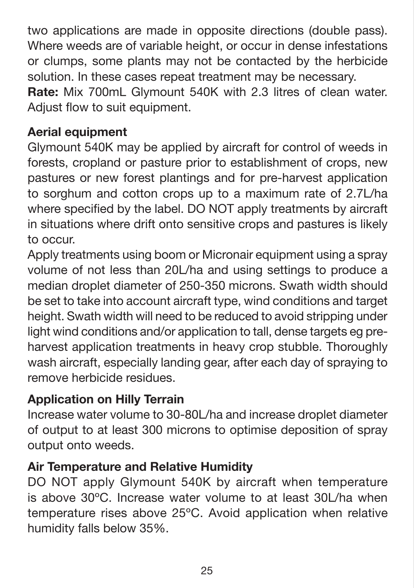two applications are made in opposite directions (double pass). Where weeds are of variable height, or occur in dense infestations or clumps, some plants may not be contacted by the herbicide solution. In these cases repeat treatment may be necessary.

**Rate:** Mix 700mL Glymount 540K with 2.3 litres of clean water. Adjust flow to suit equipment.

#### **Aerial equipment**

Glymount 540K may be applied by aircraft for control of weeds in forests, cropland or pasture prior to establishment of crops, new pastures or new forest plantings and for pre-harvest application to sorghum and cotton crops up to a maximum rate of 2.7L/ha where specified by the label. DO NOT apply treatments by aircraft in situations where drift onto sensitive crops and pastures is likely to occur.

Apply treatments using boom or Micronair equipment using a spray volume of not less than 20L/ha and using settings to produce a median droplet diameter of 250-350 microns. Swath width should be set to take into account aircraft type, wind conditions and target height. Swath width will need to be reduced to avoid stripping under light wind conditions and/or application to tall, dense targets eg preharvest application treatments in heavy crop stubble. Thoroughly wash aircraft, especially landing gear, after each day of spraying to remove herbicide residues.

#### **Application on Hilly Terrain**

Increase water volume to 30-80L/ha and increase droplet diameter of output to at least 300 microns to optimise deposition of spray output onto weeds.

#### **Air Temperature and Relative Humidity**

DO NOT apply Glymount 540K by aircraft when temperature is above 30ºC. Increase water volume to at least 30L/ha when temperature rises above 25ºC. Avoid application when relative humidity falls below 35%.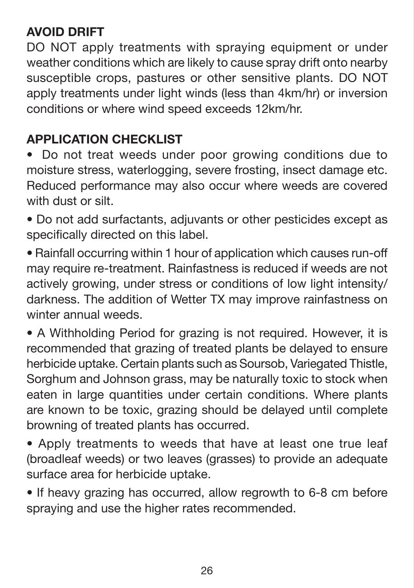#### **AVOID DRIFT**

DO NOT apply treatments with spraying equipment or under weather conditions which are likely to cause spray drift onto nearby susceptible crops, pastures or other sensitive plants. DO NOT apply treatments under light winds (less than 4km/hr) or inversion conditions or where wind speed exceeds 12km/hr.

#### **APPLICATION CHECKLIST**

• Do not treat weeds under poor growing conditions due to moisture stress, waterlogging, severe frosting, insect damage etc. Reduced performance may also occur where weeds are covered with dust or silt.

• Do not add surfactants, adjuvants or other pesticides except as specifically directed on this label.

• Rainfall occurring within 1 hour of application which causes run-off may require re-treatment. Rainfastness is reduced if weeds are not actively growing, under stress or conditions of low light intensity/ darkness. The addition of Wetter TX may improve rainfastness on winter annual weeds.

• A Withholding Period for grazing is not required. However, it is recommended that grazing of treated plants be delayed to ensure herbicide uptake. Certain plants such as Soursob, Variegated Thistle, Sorghum and Johnson grass, may be naturally toxic to stock when eaten in large quantities under certain conditions. Where plants are known to be toxic, grazing should be delayed until complete browning of treated plants has occurred.

• Apply treatments to weeds that have at least one true leaf (broadleaf weeds) or two leaves (grasses) to provide an adequate surface area for herbicide uptake.

• If heavy grazing has occurred, allow regrowth to 6-8 cm before spraying and use the higher rates recommended.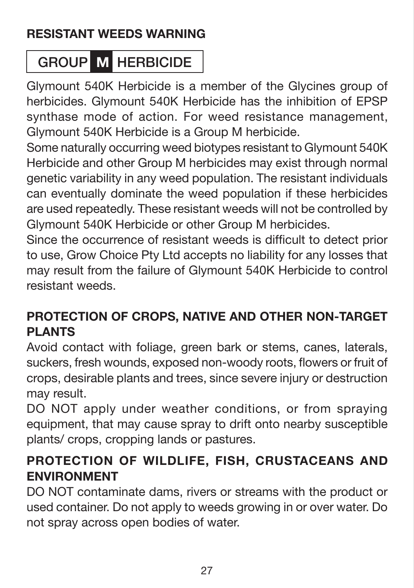#### **RESISTANT WEEDS WARNING**

#### GROUP **M** HERBICIDE

Glymount 540K Herbicide is a member of the Glycines group of herbicides. Glymount 540K Herbicide has the inhibition of EPSP synthase mode of action. For weed resistance management, Glymount 540K Herbicide is a Group M herbicide.

Some naturally occurring weed biotypes resistant to Glymount 540K Herbicide and other Group M herbicides may exist through normal genetic variability in any weed population. The resistant individuals can eventually dominate the weed population if these herbicides are used repeatedly. These resistant weeds will not be controlled by Glymount 540K Herbicide or other Group M herbicides.

Since the occurrence of resistant weeds is difficult to detect prior to use, Grow Choice Pty Ltd accepts no liability for any losses that may result from the failure of Glymount 540K Herbicide to control resistant weeds.

#### **PROTECTION OF CROPS, NATIVE AND OTHER NON-TARGET PLANTS**

Avoid contact with foliage, green bark or stems, canes, laterals, suckers, fresh wounds, exposed non-woody roots, flowers or fruit of crops, desirable plants and trees, since severe injury or destruction may result.

DO NOT apply under weather conditions, or from spraying equipment, that may cause spray to drift onto nearby susceptible plants/ crops, cropping lands or pastures.

#### **PROTECTION OF WILDLIFE, FISH, CRUSTACEANS AND ENVIRONMENT**

DO NOT contaminate dams, rivers or streams with the product or used container. Do not apply to weeds growing in or over water. Do not spray across open bodies of water.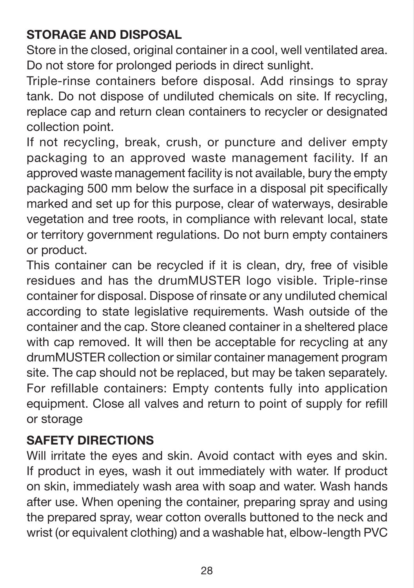#### **STORAGE AND DISPOSAL**

Store in the closed, original container in a cool, well ventilated area. Do not store for prolonged periods in direct sunlight.

Triple-rinse containers before disposal. Add rinsings to spray tank. Do not dispose of undiluted chemicals on site. If recycling, replace cap and return clean containers to recycler or designated collection point.

If not recycling, break, crush, or puncture and deliver empty packaging to an approved waste management facility. If an approved waste management facility is not available, bury the empty packaging 500 mm below the surface in a disposal pit specifically marked and set up for this purpose, clear of waterways, desirable vegetation and tree roots, in compliance with relevant local, state or territory government regulations. Do not burn empty containers or product.

This container can be recycled if it is clean, dry, free of visible residues and has the drumMUSTER logo visible. Triple-rinse container for disposal. Dispose of rinsate or any undiluted chemical according to state legislative requirements. Wash outside of the container and the cap. Store cleaned container in a sheltered place with cap removed. It will then be acceptable for recycling at any drumMUSTER collection or similar container management program site. The cap should not be replaced, but may be taken separately. For refillable containers: Empty contents fully into application equipment. Close all valves and return to point of supply for refill or storage

#### **SAFETY DIRECTIONS**

Will irritate the eyes and skin. Avoid contact with eyes and skin. If product in eyes, wash it out immediately with water. If product on skin, immediately wash area with soap and water. Wash hands after use. When opening the container, preparing spray and using the prepared spray, wear cotton overalls buttoned to the neck and wrist (or equivalent clothing) and a washable hat, elbow-length PVC